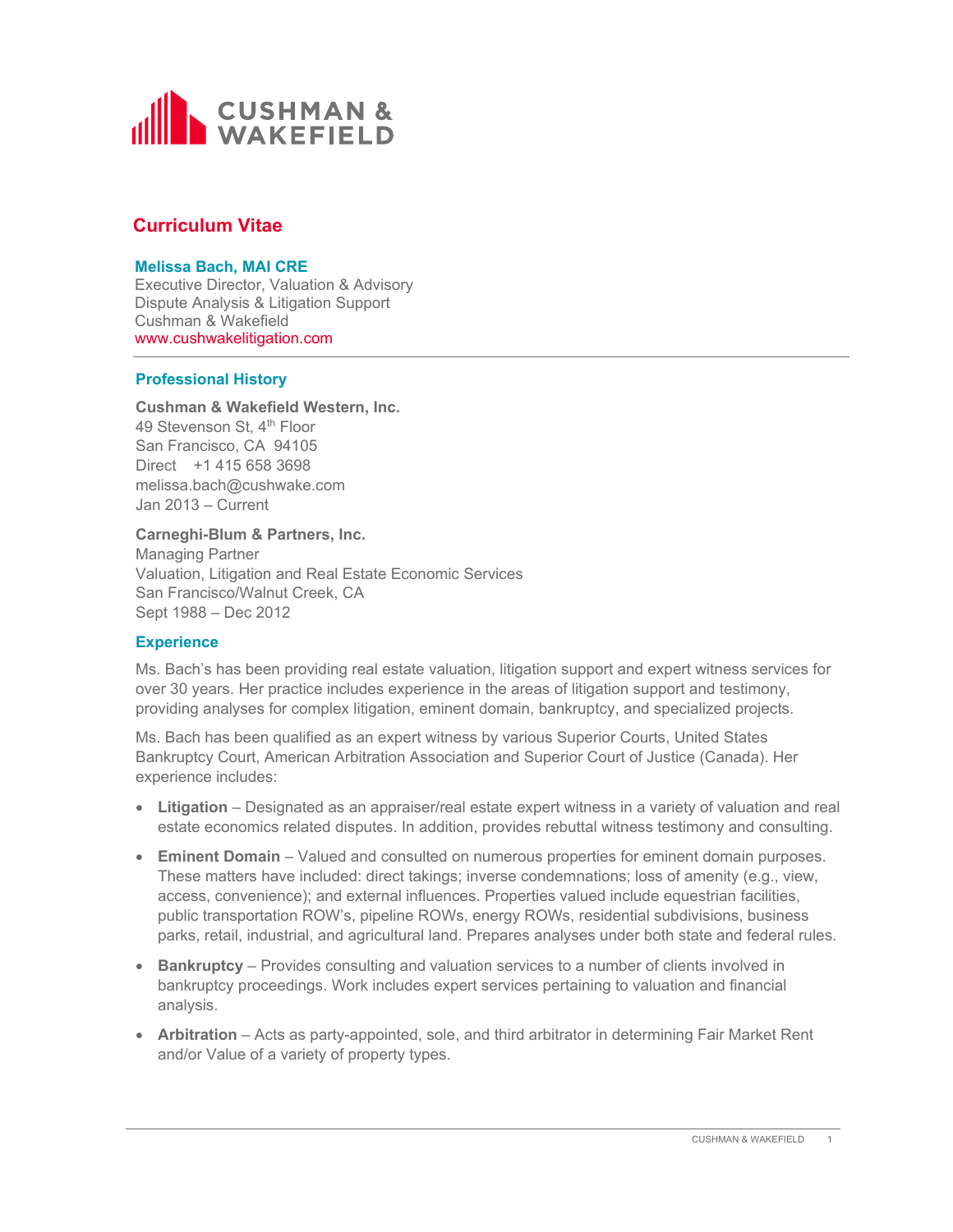

# **Curriculum Vitae**

## **Melissa Bach, MAI CRE**

Executive Director, Valuation & Advisory Dispute Analysis & Litigation Support Cushman & Wakefield www.cushwakelitigation.com

# **Professional History**

# **Cushman & Wakefield Western, Inc.** 49 Stevenson St, 4<sup>th</sup> Floor San Francisco, CA 94105 Direct +1 415 658 3698 melissa.bach@cushwake.com Jan 2013 – Current

#### **Carneghi-Blum & Partners, Inc.**

Managing Partner Valuation, Litigation and Real Estate Economic Services San Francisco/Walnut Creek, CA Sept 1988 – Dec 2012

# **Experience**

Ms. Bach's has been providing real estate valuation, litigation support and expert witness services for over 30 years. Her practice includes experience in the areas of litigation support and testimony, providing analyses for complex litigation, eminent domain, bankruptcy, and specialized projects.

Ms. Bach has been qualified as an expert witness by various Superior Courts, United States Bankruptcy Court, American Arbitration Association and Superior Court of Justice (Canada). Her experience includes:

- **Litigation** Designated as an appraiser/real estate expert witness in a variety of valuation and real estate economics related disputes. In addition, provides rebuttal witness testimony and consulting.
- **Eminent Domain** Valued and consulted on numerous properties for eminent domain purposes. These matters have included: direct takings; inverse condemnations; loss of amenity (e.g., view, access, convenience); and external influences. Properties valued include equestrian facilities, public transportation ROW's, pipeline ROWs, energy ROWs, residential subdivisions, business parks, retail, industrial, and agricultural land. Prepares analyses under both state and federal rules.
- **Bankruptcy** Provides consulting and valuation services to a number of clients involved in bankruptcy proceedings. Work includes expert services pertaining to valuation and financial analysis.
- **Arbitration** Acts as party-appointed, sole, and third arbitrator in determining Fair Market Rent and/or Value of a variety of property types.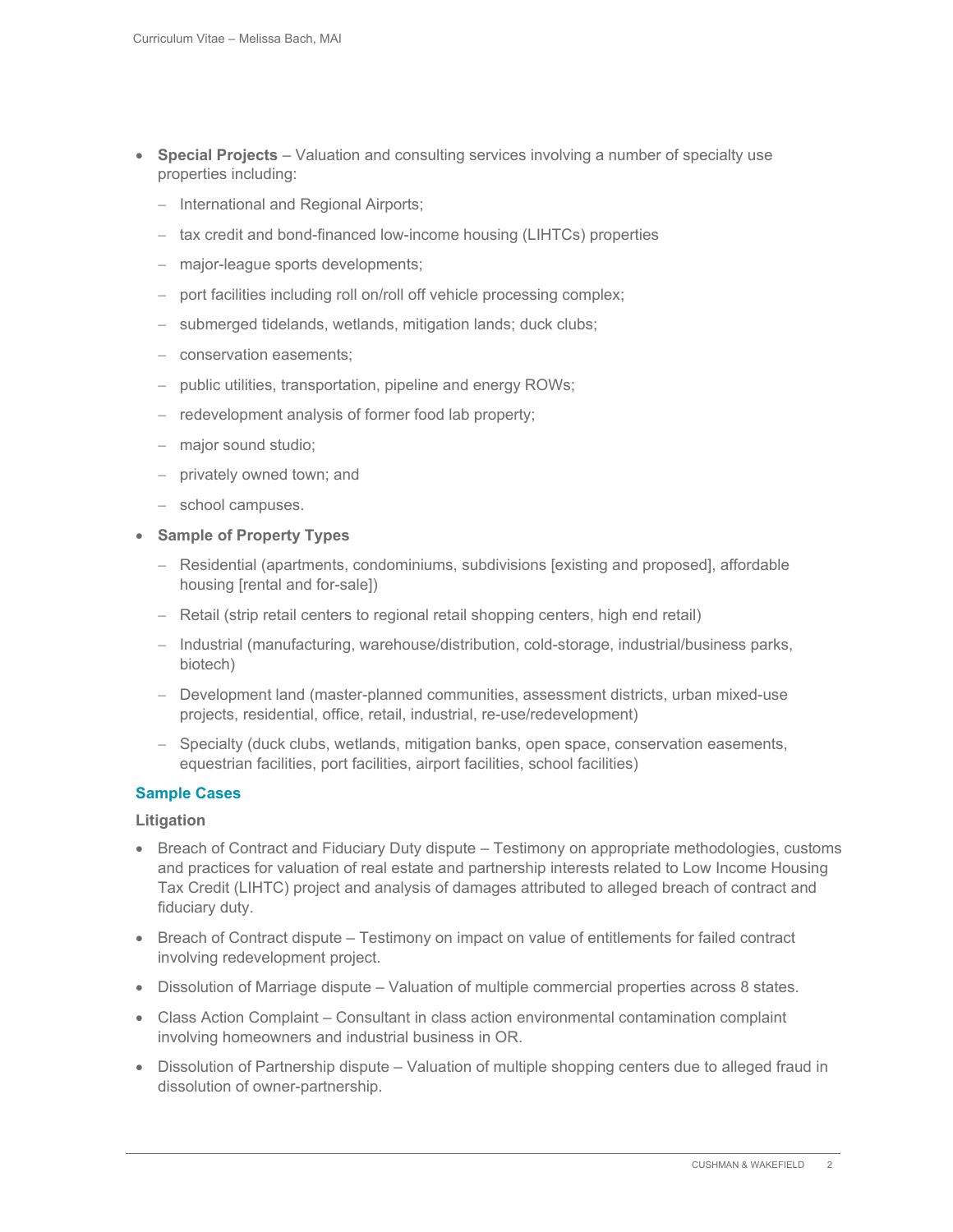- **Special Projects** Valuation and consulting services involving a number of specialty use properties including:
	- International and Regional Airports;
	- $-$  tax credit and bond-financed low-income housing (LIHTCs) properties
	- major-league sports developments;
	- port facilities including roll on/roll off vehicle processing complex;
	- submerged tidelands, wetlands, mitigation lands; duck clubs;
	- conservation easements;
	- public utilities, transportation, pipeline and energy ROWs;
	- $-$  redevelopment analysis of former food lab property;
	- major sound studio;
	- privately owned town; and
	- school campuses.

## **Sample of Property Types**

- Residential (apartments, condominiums, subdivisions [existing and proposed], affordable housing [rental and for-sale])
- Retail (strip retail centers to regional retail shopping centers, high end retail)
- Industrial (manufacturing, warehouse/distribution, cold-storage, industrial/business parks, biotech)
- Development land (master-planned communities, assessment districts, urban mixed-use projects, residential, office, retail, industrial, re-use/redevelopment)
- Specialty (duck clubs, wetlands, mitigation banks, open space, conservation easements, equestrian facilities, port facilities, airport facilities, school facilities)

# **Sample Cases**

#### **Litigation**

- Breach of Contract and Fiduciary Duty dispute Testimony on appropriate methodologies, customs and practices for valuation of real estate and partnership interests related to Low Income Housing Tax Credit (LIHTC) project and analysis of damages attributed to alleged breach of contract and fiduciary duty.
- Breach of Contract dispute Testimony on impact on value of entitlements for failed contract involving redevelopment project.
- Dissolution of Marriage dispute Valuation of multiple commercial properties across 8 states.
- Class Action Complaint Consultant in class action environmental contamination complaint involving homeowners and industrial business in OR.
- Dissolution of Partnership dispute Valuation of multiple shopping centers due to alleged fraud in dissolution of owner-partnership.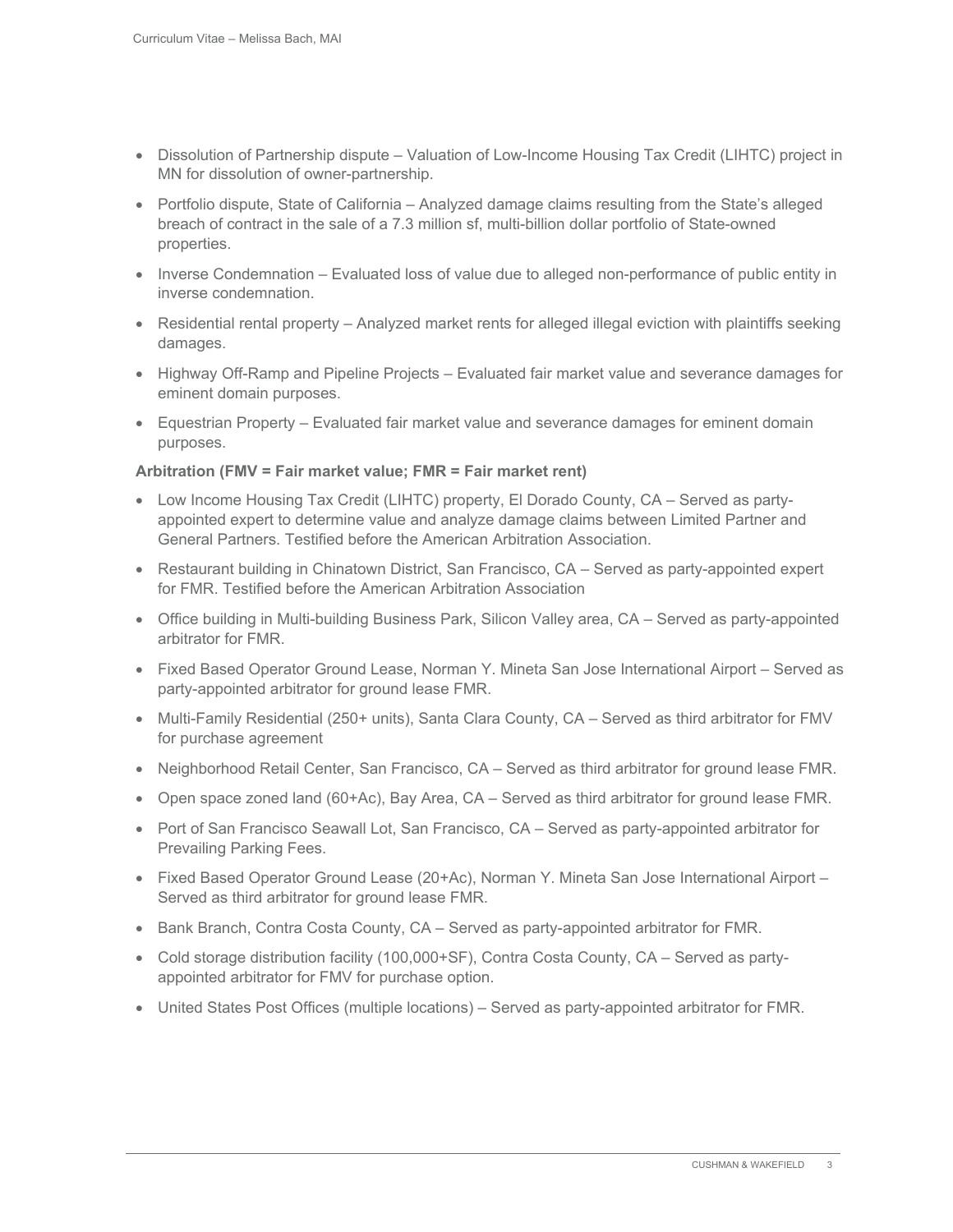- Dissolution of Partnership dispute Valuation of Low-Income Housing Tax Credit (LIHTC) project in MN for dissolution of owner-partnership.
- Portfolio dispute, State of California Analyzed damage claims resulting from the State's alleged breach of contract in the sale of a 7.3 million sf, multi-billion dollar portfolio of State-owned properties.
- Inverse Condemnation Evaluated loss of value due to alleged non-performance of public entity in inverse condemnation.
- Residential rental property Analyzed market rents for alleged illegal eviction with plaintiffs seeking damages.
- Highway Off-Ramp and Pipeline Projects Evaluated fair market value and severance damages for eminent domain purposes.
- Equestrian Property Evaluated fair market value and severance damages for eminent domain purposes.

## **Arbitration (FMV = Fair market value; FMR = Fair market rent)**

- Low Income Housing Tax Credit (LIHTC) property, El Dorado County, CA Served as partyappointed expert to determine value and analyze damage claims between Limited Partner and General Partners. Testified before the American Arbitration Association.
- Restaurant building in Chinatown District, San Francisco, CA Served as party-appointed expert for FMR. Testified before the American Arbitration Association
- Office building in Multi-building Business Park, Silicon Valley area, CA Served as party-appointed arbitrator for FMR.
- Fixed Based Operator Ground Lease, Norman Y. Mineta San Jose International Airport Served as party-appointed arbitrator for ground lease FMR.
- Multi-Family Residential (250+ units), Santa Clara County, CA Served as third arbitrator for FMV for purchase agreement
- Neighborhood Retail Center, San Francisco, CA Served as third arbitrator for ground lease FMR.
- Open space zoned land (60+Ac), Bay Area, CA Served as third arbitrator for ground lease FMR.
- Port of San Francisco Seawall Lot, San Francisco, CA Served as party-appointed arbitrator for Prevailing Parking Fees.
- Fixed Based Operator Ground Lease (20+Ac), Norman Y. Mineta San Jose International Airport Served as third arbitrator for ground lease FMR.
- Bank Branch, Contra Costa County, CA Served as party-appointed arbitrator for FMR.
- Cold storage distribution facility (100,000+SF), Contra Costa County, CA Served as partyappointed arbitrator for FMV for purchase option.
- United States Post Offices (multiple locations) Served as party-appointed arbitrator for FMR.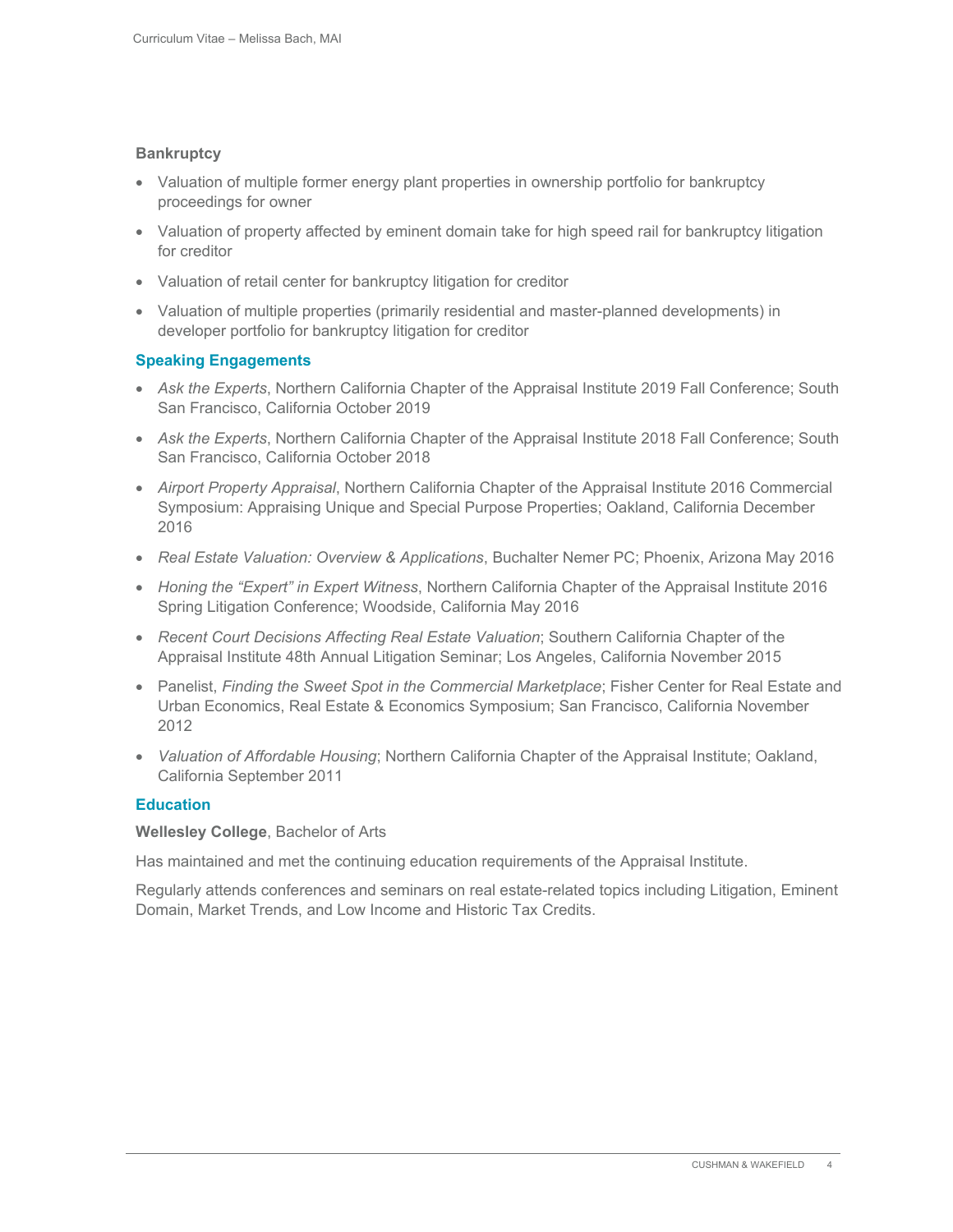### **Bankruptcy**

- Valuation of multiple former energy plant properties in ownership portfolio for bankruptcy proceedings for owner
- Valuation of property affected by eminent domain take for high speed rail for bankruptcy litigation for creditor
- Valuation of retail center for bankruptcy litigation for creditor
- Valuation of multiple properties (primarily residential and master-planned developments) in developer portfolio for bankruptcy litigation for creditor

## **Speaking Engagements**

- *Ask the Experts*, Northern California Chapter of the Appraisal Institute 2019 Fall Conference; South San Francisco, California October 2019
- *Ask the Experts*, Northern California Chapter of the Appraisal Institute 2018 Fall Conference; South San Francisco, California October 2018
- *Airport Property Appraisal*, Northern California Chapter of the Appraisal Institute 2016 Commercial Symposium: Appraising Unique and Special Purpose Properties; Oakland, California December 2016
- *Real Estate Valuation: Overview & Applications*, Buchalter Nemer PC; Phoenix, Arizona May 2016
- Honing the "Expert" in Expert Witness, Northern California Chapter of the Appraisal Institute 2016 Spring Litigation Conference; Woodside, California May 2016
- *Recent Court Decisions Affecting Real Estate Valuation*; Southern California Chapter of the Appraisal Institute 48th Annual Litigation Seminar; Los Angeles, California November 2015
- Panelist, *Finding the Sweet Spot in the Commercial Marketplace*; Fisher Center for Real Estate and Urban Economics, Real Estate & Economics Symposium; San Francisco, California November 2012
- *Valuation of Affordable Housing*; Northern California Chapter of the Appraisal Institute; Oakland, California September 2011

### **Education**

#### **Wellesley College**, Bachelor of Arts

Has maintained and met the continuing education requirements of the Appraisal Institute.

Regularly attends conferences and seminars on real estate-related topics including Litigation, Eminent Domain, Market Trends, and Low Income and Historic Tax Credits.